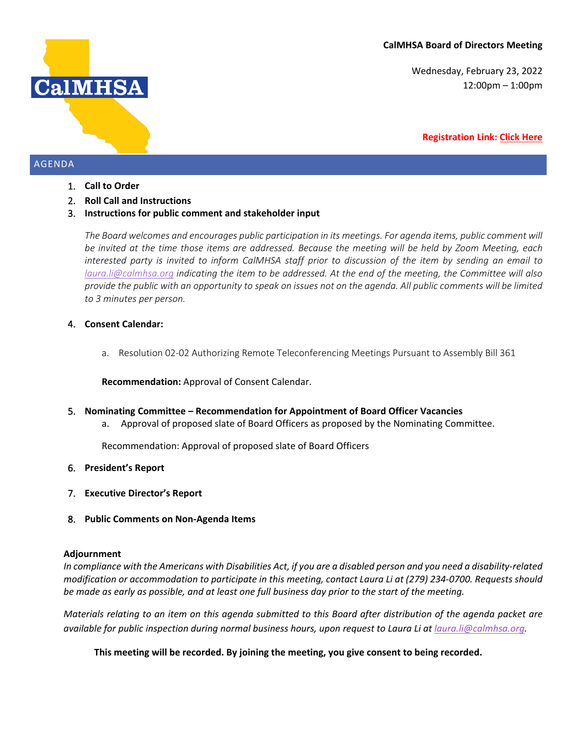Wednesday, February 23, 2022 12:00pm – 1:00pm

#### **Registration Link: [Click Here](https://us02web.zoom.us/meeting/register/tZIpce2uqTouHNKbfnEdniV2jqZb8Hcfx3Vv)**

## AGENDA

- 1. **Call to Order**
- 2. **Roll Call and Instructions**
- 3. **Instructions for public comment and stakeholder input**

*The Board welcomes and encourages public participation in its meetings. For agenda items, public comment will be invited at the time those items are addressed. Because the meeting will be held by Zoom Meeting, each interested party is invited to inform CalMHSA staff prior to discussion of the item by sending an email to [laura.li@calmhsa.org](mailto:laura.li@calmhsa.org) indicating the item to be addressed. At the end of the meeting, the Committee will also provide the public with an opportunity to speak on issues not on the agenda. All public comments will be limited to 3 minutes per person.*

#### 4. **Consent Calendar:**

a. Resolution 02-02 Authorizing Remote Teleconferencing Meetings Pursuant to Assembly Bill 361

**Recommendation:** Approval of Consent Calendar.

- 5. **Nominating Committee – Recommendation for Appointment of Board Officer Vacancies**
	- a. Approval of proposed slate of Board Officers as proposed by the Nominating Committee.

Recommendation: Approval of proposed slate of Board Officers

- 6. **President's Report**
- 7. **Executive Director's Report**
- 8. **Public Comments on Non-Agenda Items**

#### **Adjournment**

*In compliance with the Americans with Disabilities Act, if you are a disabled person and you need a disability-related modification or accommodation to participate in this meeting, contact Laura Li at (279) 234-0700. Requests should be made as early as possible, and at least one full business day prior to the start of the meeting.*

*Materials relating to an item on this agenda submitted to this Board after distribution of the agenda packet are available for public inspection during normal business hours, upon request to Laura Li at [laura.li@calmhsa.org.](mailto:laura.li@calmhsa.com)* 

**This meeting will be recorded. By joining the meeting, you give consent to being recorded.**

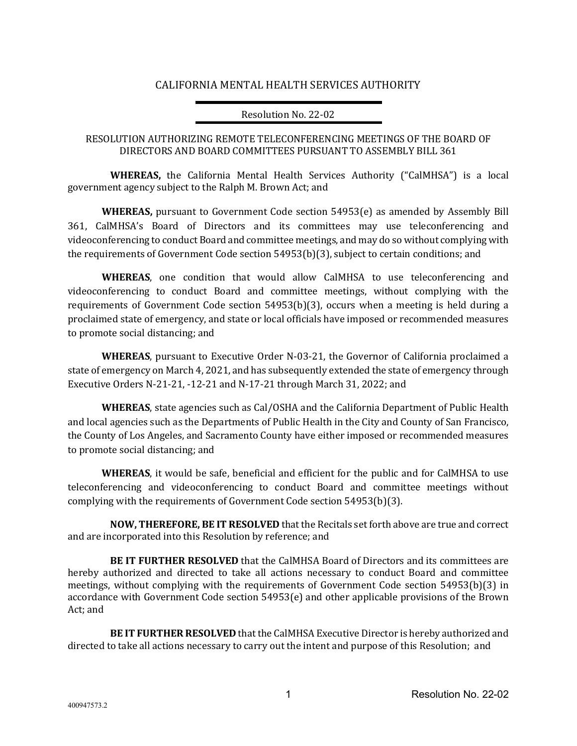# CALIFORNIA MENTAL HEALTH SERVICES AUTHORITY

### Resolution No. 22-02

## RESOLUTION AUTHORIZING REMOTE TELECONFERENCING MEETINGS OF THE BOARD OF DIRECTORS AND BOARD COMMITTEES PURSUANT TO ASSEMBLY BILL 361

**WHEREAS,** the California Mental Health Services Authority ("CalMHSA") is a local government agency subject to the Ralph M. Brown Act; and

**WHEREAS,** pursuant to Government Code section 54953(e) as amended by Assembly Bill 361, CalMHSA's Board of Directors and its committees may use teleconferencing and videoconferencing to conduct Board and committee meetings, and may do so without complying with the requirements of Government Code section 54953(b)(3), subject to certain conditions; and

**WHEREAS**, one condition that would allow CalMHSA to use teleconferencing and videoconferencing to conduct Board and committee meetings, without complying with the requirements of Government Code section 54953(b)(3), occurs when a meeting is held during a proclaimed state of emergency, and state or local officials have imposed or recommended measures to promote social distancing; and

**WHEREAS**, pursuant to Executive Order N-03-21, the Governor of California proclaimed a state of emergency on March 4, 2021, and has subsequently extended the state of emergency through Executive Orders N-21-21, -12-21 and N-17-21 through March 31, 2022; and

**WHEREAS**, state agencies such as Cal/OSHA and the California Department of Public Health and local agencies such as the Departments of Public Health in the City and County of San Francisco, the County of Los Angeles, and Sacramento County have either imposed or recommended measures to promote social distancing; and

**WHEREAS**, it would be safe, beneficial and efficient for the public and for CalMHSA to use teleconferencing and videoconferencing to conduct Board and committee meetings without complying with the requirements of Government Code section 54953(b)(3).

**NOW, THEREFORE, BE IT RESOLVED** that the Recitals set forth above are true and correct and are incorporated into this Resolution by reference; and

**BE IT FURTHER RESOLVED** that the CalMHSA Board of Directors and its committees are hereby authorized and directed to take all actions necessary to conduct Board and committee meetings, without complying with the requirements of Government Code section 54953(b)(3) in accordance with Government Code section 54953(e) and other applicable provisions of the Brown Act; and

**BE IT FURTHER RESOLVED** that the CalMHSA Executive Director is hereby authorized and directed to take all actions necessary to carry out the intent and purpose of this Resolution; and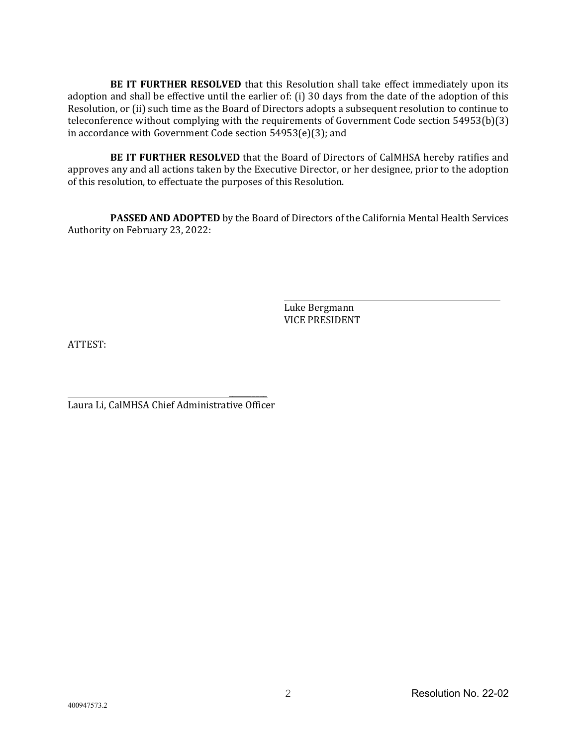**BE IT FURTHER RESOLVED** that this Resolution shall take effect immediately upon its adoption and shall be effective until the earlier of: (i) 30 days from the date of the adoption of this Resolution, or (ii) such time as the Board of Directors adopts a subsequent resolution to continue to teleconference without complying with the requirements of Government Code section 54953(b)(3) in accordance with Government Code section 54953(e)(3); and

**BE IT FURTHER RESOLVED** that the Board of Directors of CalMHSA hereby ratifies and approves any and all actions taken by the Executive Director, or her designee, prior to the adoption of this resolution, to effectuate the purposes of this Resolution.

**PASSED AND ADOPTED** by the Board of Directors of the California Mental Health Services Authority on February 23, 2022:

> Luke Bergmann VICE PRESIDENT

ATTEST:

 $\overline{\phantom{a}}$ Laura Li, CalMHSA Chief Administrative Officer